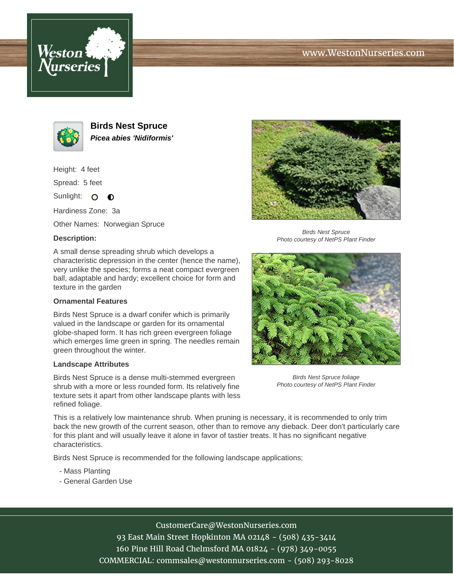





**Birds Nest Spruce Picea abies 'Nidiformis'**

Height: 4 feet

Spread: 5 feet

Sunlight: O  $\bullet$ 

Hardiness Zone: 3a

Other Names: Norwegian Spruce

## **Description:**

A small dense spreading shrub which develops a characteristic depression in the center (hence the name), very unlike the species; forms a neat compact evergreen ball, adaptable and hardy; excellent choice for form and texture in the garden

## **Ornamental Features**

Birds Nest Spruce is a dwarf conifer which is primarily valued in the landscape or garden for its ornamental globe-shaped form. It has rich green evergreen foliage which emerges lime green in spring. The needles remain green throughout the winter.

## **Landscape Attributes**

Birds Nest Spruce is a dense multi-stemmed evergreen shrub with a more or less rounded form. Its relatively fine texture sets it apart from other landscape plants with less refined foliage.



Birds Nest Spruce Photo courtesy of NetPS Plant Finder



Birds Nest Spruce foliage Photo courtesy of NetPS Plant Finder

This is a relatively low maintenance shrub. When pruning is necessary, it is recommended to only trim back the new growth of the current season, other than to remove any dieback. Deer don't particularly care for this plant and will usually leave it alone in favor of tastier treats. It has no significant negative characteristics.

Birds Nest Spruce is recommended for the following landscape applications;

- Mass Planting
- General Garden Use

CustomerCare@WestonNurseries.com 93 East Main Street Hopkinton MA 02148 - (508) 435-3414

160 Pine Hill Road Chelmsford MA 01824 - (978) 349-0055 COMMERCIAL: commsales@westonnurseries.com - (508) 293-8028